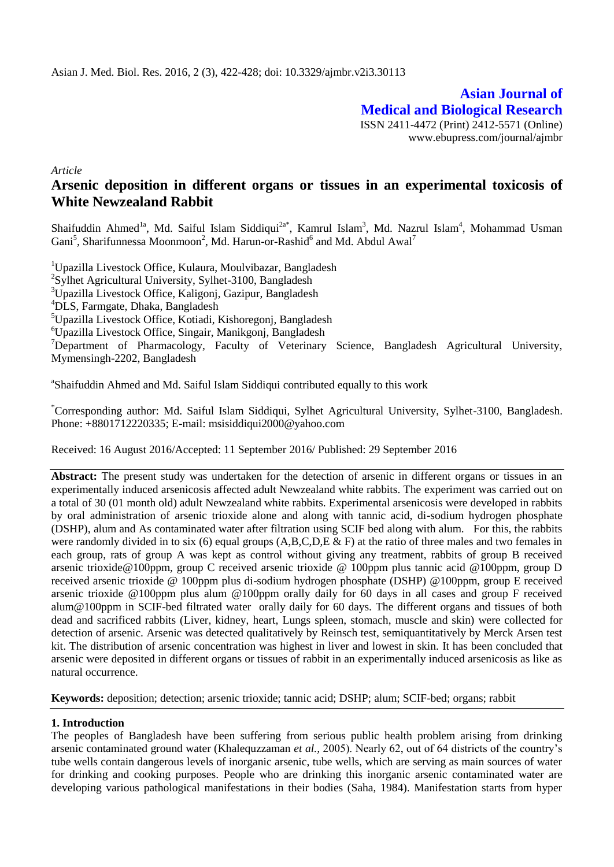**Asian Journal of Medical and Biological Research** ISSN 2411-4472 (Print) 2412-5571 (Online) www.ebupress.com/journal/ajmbr

*Article*

# **Arsenic deposition in different organs or tissues in an experimental toxicosis of White Newzealand Rabbit**

Shaifuddin Ahmed<sup>1a</sup>, Md. Saiful Islam Siddiqui<sup>2a\*</sup>, Kamrul Islam<sup>3</sup>, Md. Nazrul Islam<sup>4</sup>, Mohammad Usman Gani<sup>5</sup>, Sharifunnessa Moonmoon<sup>2</sup>, Md. Harun-or-Rashid<sup>6</sup> and Md. Abdul Awal<sup>7</sup>

Upazilla Livestock Office, Kulaura, Moulvibazar, Bangladesh <sup>2</sup>Sylhet Agricultural University, Sylhet-3100, Bangladesh Upazilla Livestock Office, Kaligonj, Gazipur, Bangladesh DLS, Farmgate, Dhaka, Bangladesh Upazilla Livestock Office, Kotiadi, Kishoregonj, Bangladesh Upazilla Livestock Office, Singair, Manikgonj, Bangladesh  $\nabla^7$ Department of Pharmacology, Faculty of Veterinary Science, Bangladesh Agricultural University, Mymensingh-2202, Bangladesh

<sup>a</sup>Shaifuddin Ahmed and Md. Saiful Islam Siddiqui contributed equally to this work

\*Corresponding author: Md. Saiful Islam Siddiqui, Sylhet Agricultural University, Sylhet-3100, Bangladesh. Phone: +8801712220335; E-mail: [msisiddiqui2000@yahoo.com](mailto:msisiddiqui2000@yahoo.com)

Received: 16 August 2016/Accepted: 11 September 2016/ Published: 29 September 2016

**Abstract:** The present study was undertaken for the detection of arsenic in different organs or tissues in an experimentally induced arsenicosis affected adult Newzealand white rabbits. The experiment was carried out on a total of 30 (01 month old) adult Newzealand white rabbits. Experimental arsenicosis were developed in rabbits by oral administration of arsenic trioxide alone and along with tannic acid, di-sodium hydrogen phosphate (DSHP), alum and As contaminated water after filtration using SCIF bed along with alum. For this, the rabbits were randomly divided in to six (6) equal groups (A,B,C,D,E & F) at the ratio of three males and two females in each group, rats of group A was kept as control without giving any treatment, rabbits of group B received arsenic trioxide@100ppm, group C received arsenic trioxide @ 100ppm plus tannic acid @100ppm, group D received arsenic trioxide @ 100ppm plus di-sodium hydrogen phosphate (DSHP) @100ppm, group E received arsenic trioxide @100ppm plus alum @100ppm orally daily for 60 days in all cases and group F received alum@100ppm in SCIF-bed filtrated water orally daily for 60 days. The different organs and tissues of both dead and sacrificed rabbits (Liver, kidney, heart, Lungs spleen, stomach, muscle and skin) were collected for detection of arsenic. Arsenic was detected qualitatively by Reinsch test, semiquantitatively by Merck Arsen test kit. The distribution of arsenic concentration was highest in liver and lowest in skin. It has been concluded that arsenic were deposited in different organs or tissues of rabbit in an experimentally induced arsenicosis as like as natural occurrence.

**Keywords:** deposition; detection; arsenic trioxide; tannic acid; DSHP; alum; SCIF-bed; organs; rabbit

## **1. Introduction**

The peoples of Bangladesh have been suffering from serious public health problem arising from drinking arsenic contaminated ground water (Khalequzzaman *et al.,* 2005). Nearly 62, out of 64 districts of the country's tube wells contain dangerous levels of inorganic arsenic, tube wells, which are serving as main sources of water for drinking and cooking purposes. People who are drinking this inorganic arsenic contaminated water are developing various pathological manifestations in their bodies (Saha, 1984). Manifestation starts from hyper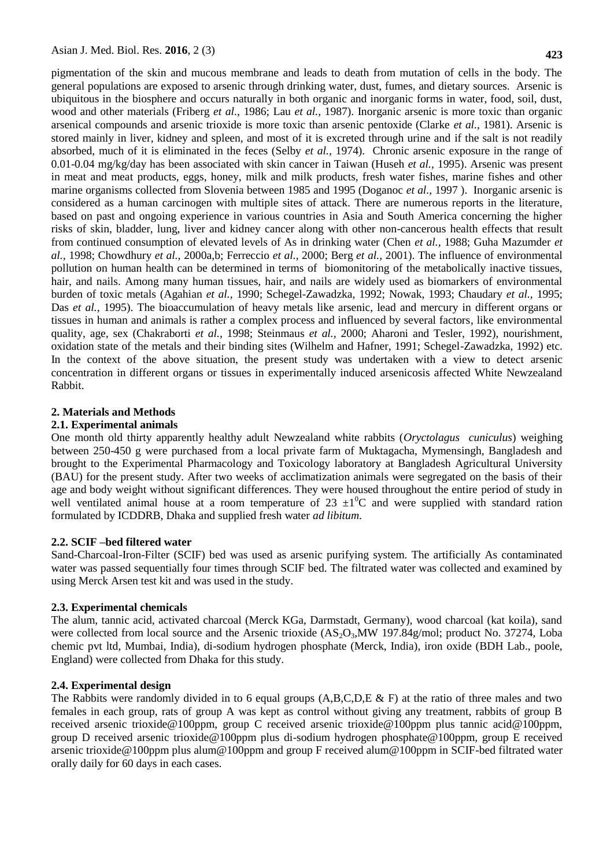pigmentation of the skin and mucous membrane and leads to death from mutation of cells in the body. The general populations are exposed to arsenic through drinking water, dust, fumes, and dietary sources. Arsenic is ubiquitous in the biosphere and occurs naturally in both organic and inorganic forms in water, food, soil, dust, wood and other materials (Friberg *et al.,* 1986; Lau *et al.,* 1987). Inorganic arsenic is more toxic than organic arsenical compounds and arsenic trioxide is more toxic than arsenic pentoxide (Clarke *et al.,* 1981). Arsenic is stored mainly in liver, kidney and spleen, and most of it is excreted through urine and if the salt is not readily absorbed, much of it is eliminated in the feces (Selby *et al.,* 1974). Chronic arsenic exposure in the range of 0.01-0.04 mg/kg/day has been associated with skin cancer in Taiwan (Huseh *et al.,* 1995). Arsenic was present in meat and meat products, eggs, honey, milk and milk products, fresh water fishes, marine fishes and other marine organisms collected from Slovenia between 1985 and 1995 (Doganoc *et al.,* 1997 ). Inorganic arsenic is considered as a human carcinogen with multiple sites of attack. There are numerous reports in the literature, based on past and ongoing experience in various countries in Asia and South America concerning the higher risks of skin, bladder, lung, liver and kidney cancer along with other non-cancerous health effects that result from continued consumption of elevated levels of As in drinking water (Chen *et al.,* 1988; Guha Mazumder *et al.,* 1998; Chowdhury *et al.,* 2000a,b; Ferreccio *et al.,* 2000; Berg *et al.,* 2001). The influence of environmental pollution on human health can be determined in terms of biomonitoring of the metabolically inactive tissues, hair, and nails. Among many human tissues, hair, and nails are widely used as biomarkers of environmental burden of toxic metals (Agahian *et al.,* 1990; Schegel-Zawadzka, 1992; Nowak, 1993; Chaudary *et al.,* 1995; Das *et al.,* 1995). The bioaccumulation of heavy metals like arsenic, lead and mercury in different organs or tissues in human and animals is rather a complex process and influenced by several factors, like environmental quality, age, sex (Chakraborti *et al.,* 1998; Steinmaus *et al.,* 2000; Aharoni and Tesler, 1992), nourishment, oxidation state of the metals and their binding sites (Wilhelm and Hafner, 1991; Schegel-Zawadzka, 1992) etc. In the context of the above situation, the present study was undertaken with a view to detect arsenic concentration in different organs or tissues in experimentally induced arsenicosis affected White Newzealand Rabbit.

### **2. Materials and Methods**

### **2.1. Experimental animals**

One month old thirty apparently healthy adult Newzealand white rabbits (*Oryctolagus cuniculus*) weighing between 250-450 g were purchased from a local private farm of Muktagacha, Mymensingh, Bangladesh and brought to the Experimental Pharmacology and Toxicology laboratory at Bangladesh Agricultural University (BAU) for the present study. After two weeks of acclimatization animals were segregated on the basis of their age and body weight without significant differences. They were housed throughout the entire period of study in well ventilated animal house at a room temperature of 23  $\pm 1^0C$  and were supplied with standard ration formulated by ICDDRB, Dhaka and supplied fresh water *ad libitum*.

### **2.2. SCIF –bed filtered water**

Sand-Charcoal-Iron-Filter (SCIF) bed was used as arsenic purifying system. The artificially As contaminated water was passed sequentially four times through SCIF bed. The filtrated water was collected and examined by using Merck Arsen test kit and was used in the study.

### **2.3. Experimental chemicals**

The alum, tannic acid, activated charcoal (Merck KGa, Darmstadt, Germany), wood charcoal (kat koila), sand were collected from local source and the Arsenic trioxide  $(AS_2O_3)$ MW 197.84g/mol; product No. 37274, Loba chemic pvt ltd, Mumbai, India), di-sodium hydrogen phosphate (Merck, India), iron oxide (BDH Lab., poole, England) were collected from Dhaka for this study.

### **2.4. Experimental design**

The Rabbits were randomly divided in to 6 equal groups  $(A, B, C, D, E \& F)$  at the ratio of three males and two females in each group, rats of group A was kept as control without giving any treatment, rabbits of group B received arsenic trioxide@100ppm, group C received arsenic trioxide@100ppm plus tannic acid@100ppm, group D received arsenic trioxide@100ppm plus di-sodium hydrogen phosphate@100ppm, group E received arsenic trioxide@100ppm plus alum@100ppm and group F received alum@100ppm in SCIF-bed filtrated water orally daily for 60 days in each cases.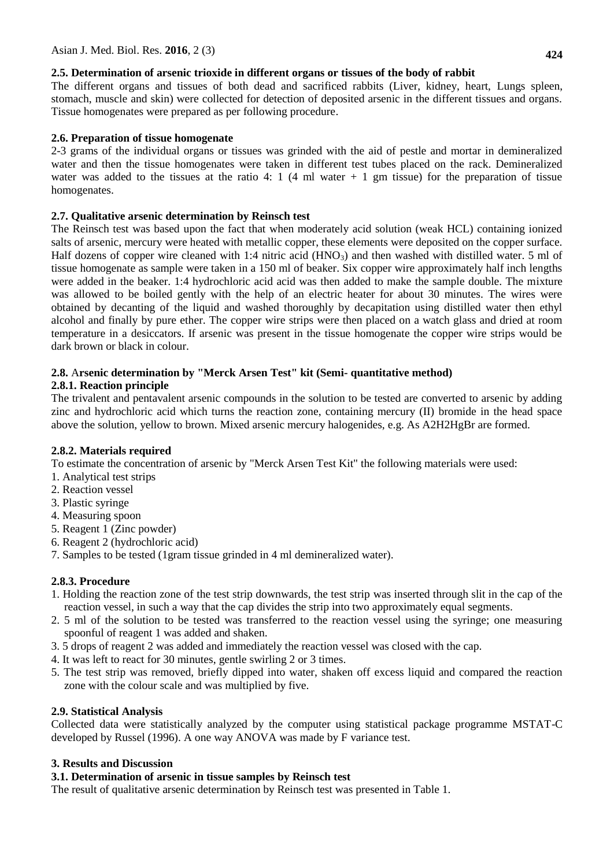## **2.5. Determination of arsenic trioxide in different organs or tissues of the body of rabbit**

The different organs and tissues of both dead and sacrificed rabbits (Liver, kidney, heart, Lungs spleen, stomach, muscle and skin) were collected for detection of deposited arsenic in the different tissues and organs. Tissue homogenates were prepared as per following procedure.

## **2.6. Preparation of tissue homogenate**

2-3 grams of the individual organs or tissues was grinded with the aid of pestle and mortar in demineralized water and then the tissue homogenates were taken in different test tubes placed on the rack. Demineralized water was added to the tissues at the ratio 4: 1 (4 ml water  $+$  1 gm tissue) for the preparation of tissue homogenates.

## **2.7. Qualitative arsenic determination by Reinsch test**

The Reinsch test was based upon the fact that when moderately acid solution (weak HCL) containing ionized salts of arsenic, mercury were heated with metallic copper, these elements were deposited on the copper surface. Half dozens of copper wire cleaned with 1:4 nitric acid  $(HNO_3)$  and then washed with distilled water. 5 ml of tissue homogenate as sample were taken in a 150 ml of beaker. Six copper wire approximately half inch lengths were added in the beaker. 1:4 hydrochloric acid acid was then added to make the sample double. The mixture was allowed to be boiled gently with the help of an electric heater for about 30 minutes. The wires were obtained by decanting of the liquid and washed thoroughly by decapitation using distilled water then ethyl alcohol and finally by pure ether. The copper wire strips were then placed on a watch glass and dried at room temperature in a desiccators. If arsenic was present in the tissue homogenate the copper wire strips would be dark brown or black in colour.

## **2.8.** A**rsenic determination by "Merck Arsen Test" kit (Semi- quantitative method)**

## **2.8.1. Reaction principle**

The trivalent and pentavalent arsenic compounds in the solution to be tested are converted to arsenic by adding zinc and hydrochloric acid which turns the reaction zone, containing mercury (II) bromide in the head space above the solution, yellow to brown. Mixed arsenic mercury halogenides, e.g. As A2H2HgBr are formed.

## **2.8.2. Materials required**

To estimate the concentration of arsenic by "Merck Arsen Test Kit" the following materials were used:

- 1. Analytical test strips
- 2. Reaction vessel
- 3. Plastic syringe
- 4. Measuring spoon
- 5. Reagent 1 (Zinc powder)
- 6. Reagent 2 (hydrochloric acid)
- 7. Samples to be tested (1gram tissue grinded in 4 ml demineralized water).

## **2.8.3. Procedure**

- 1. Holding the reaction zone of the test strip downwards, the test strip was inserted through slit in the cap of the reaction vessel, in such a way that the cap divides the strip into two approximately equal segments.
- 2. 5 ml of the solution to be tested was transferred to the reaction vessel using the syringe; one measuring spoonful of reagent 1 was added and shaken.
- 3. 5 drops of reagent 2 was added and immediately the reaction vessel was closed with the cap.
- 4. It was left to react for 30 minutes, gentle swirling 2 or 3 times.
- 5. The test strip was removed, briefly dipped into water, shaken off excess liquid and compared the reaction zone with the colour scale and was multiplied by five.

## **2.9. Statistical Analysis**

Collected data were statistically analyzed by the computer using statistical package programme MSTAT-C developed by Russel (1996). A one way ANOVA was made by F variance test.

## **3. Results and Discussion**

## **3.1. Determination of arsenic in tissue samples by Reinsch test**

The result of qualitative arsenic determination by Reinsch test was presented in Table 1.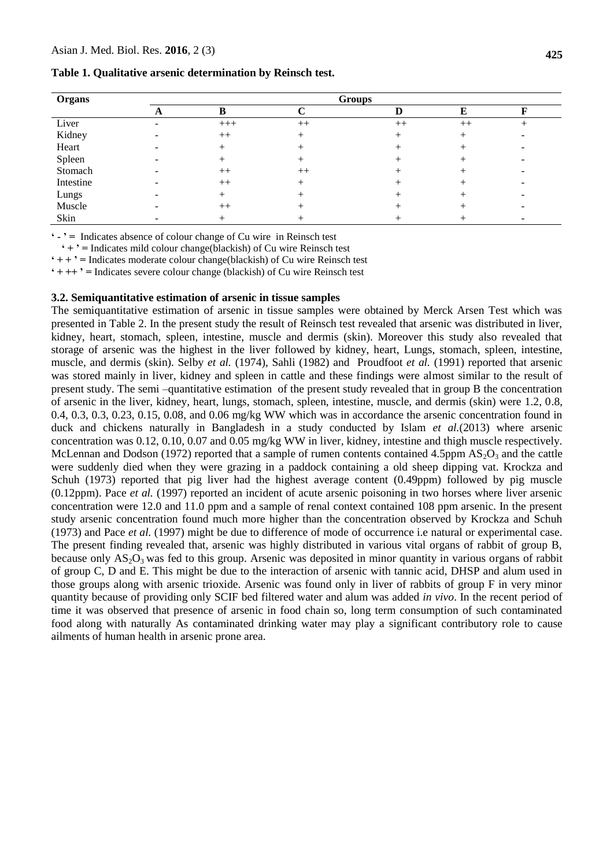#### **Table 1. Qualitative arsenic determination by Reinsch test.**

| Organs    | <b>Groups</b> |         |      |      |      |  |  |  |  |
|-----------|---------------|---------|------|------|------|--|--|--|--|
|           |               |         |      |      |      |  |  |  |  |
| Liver     |               | $+++$   | $++$ | $++$ | $++$ |  |  |  |  |
| Kidney    |               | $^{++}$ |      |      |      |  |  |  |  |
| Heart     |               |         |      |      |      |  |  |  |  |
| Spleen    |               |         |      |      |      |  |  |  |  |
| Stomach   |               | $++$    | $++$ |      |      |  |  |  |  |
| Intestine |               | $++$    |      |      |      |  |  |  |  |
| Lungs     |               |         |      |      |      |  |  |  |  |
| Muscle    |               | $^{++}$ |      |      |      |  |  |  |  |
| Skin      |               |         |      |      |      |  |  |  |  |

**' - ' =** Indicates absence of colour change of Cu wire in Reinsch test

 **' + ' =** Indicates mild colour change(blackish) of Cu wire Reinsch test

 $' + +' =$  Indicates moderate colour change(blackish) of Cu wire Reinsch test

**' + ++ ' =** Indicates severe colour change (blackish) of Cu wire Reinsch test

### **3.2. Semiquantitative estimation of arsenic in tissue samples**

The semiquantitative estimation of arsenic in tissue samples were obtained by Merck Arsen Test which was presented in Table 2. In the present study the result of Reinsch test revealed that arsenic was distributed in liver, kidney, heart, stomach, spleen, intestine, muscle and dermis (skin). Moreover this study also revealed that storage of arsenic was the highest in the liver followed by kidney, heart, Lungs, stomach, spleen, intestine, muscle, and dermis (skin). Selby *et al.* (1974), Sahli (1982) and Proudfoot *et al.* (1991) reported that arsenic was stored mainly in liver, kidney and spleen in cattle and these findings were almost similar to the result of present study. The semi –quantitative estimation of the present study revealed that in group B the concentration of arsenic in the liver, kidney, heart, lungs, stomach, spleen, intestine, muscle, and dermis (skin) were 1.2, 0.8, 0.4, 0.3, 0.3, 0.23, 0.15, 0.08, and 0.06 mg/kg WW which was in accordance the arsenic concentration found in duck and chickens naturally in Bangladesh in a study conducted by Islam *et al.*(2013) where arsenic concentration was 0.12, 0.10, 0.07 and 0.05 mg/kg WW in liver, kidney, intestine and thigh muscle respectively. McLennan and Dodson (1972) reported that a sample of rumen contents contained 4.5ppm  $AS_2O_3$  and the cattle were suddenly died when they were grazing in a paddock containing a old sheep dipping vat. Krockza and Schuh (1973) reported that pig liver had the highest average content (0.49ppm) followed by pig muscle (0.12ppm). Pace *et al.* (1997) reported an incident of acute arsenic poisoning in two horses where liver arsenic concentration were 12.0 and 11.0 ppm and a sample of renal context contained 108 ppm arsenic. In the present study arsenic concentration found much more higher than the concentration observed by Krockza and Schuh (1973) and Pace *et al.* (1997) might be due to difference of mode of occurrence i.e natural or experimental case. The present finding revealed that, arsenic was highly distributed in various vital organs of rabbit of group B, because only  $AS_2O_3$  was fed to this group. Arsenic was deposited in minor quantity in various organs of rabbit of group C, D and E. This might be due to the interaction of arsenic with tannic acid, DHSP and alum used in those groups along with arsenic trioxide. Arsenic was found only in liver of rabbits of group F in very minor quantity because of providing only SCIF bed filtered water and alum was added *in vivo*. In the recent period of time it was observed that presence of arsenic in food chain so, long term consumption of such contaminated food along with naturally As contaminated drinking water may play a significant contributory role to cause ailments of human health in arsenic prone area.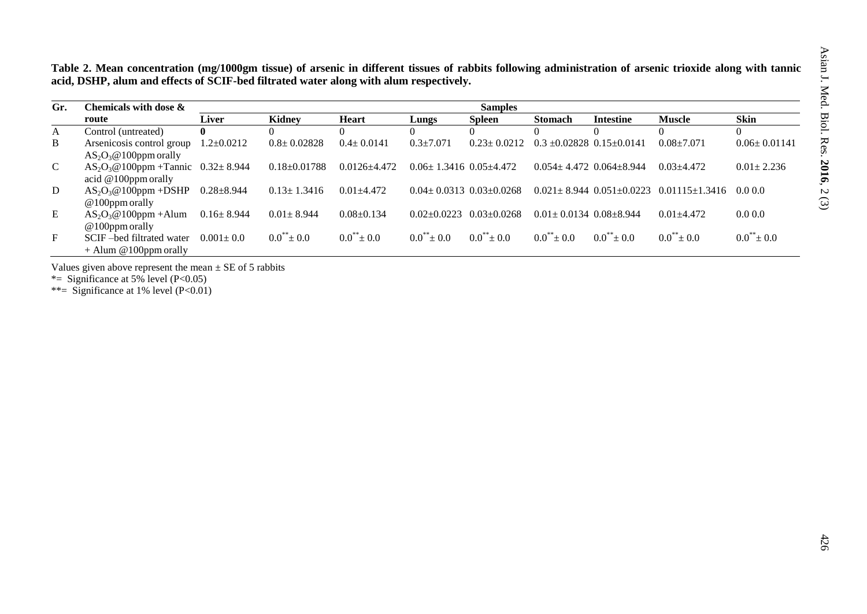**Table 2. Mean concentration (mg/1000gm tissue) of arsenic in different tissues of rabbits following administration of arsenic trioxide along with tannic acid, DSHP, alum and effects of SCIF-bed filtrated water along with alum respectively.**

| Gr.          | Chemicals with dose $\&$                | <b>Samples</b>   |                    |                  |                                     |                   |                                    |                  |                                                                   |                    |
|--------------|-----------------------------------------|------------------|--------------------|------------------|-------------------------------------|-------------------|------------------------------------|------------------|-------------------------------------------------------------------|--------------------|
|              | route                                   | <b>Liver</b>     | <b>Kidney</b>      | <b>Heart</b>     | Lungs                               | <b>Spleen</b>     | Stomach                            | <b>Intestine</b> | <b>Muscle</b>                                                     | <b>Skin</b>        |
| $\mathbf{A}$ | Control (untreated)                     | $\mathbf{0}$     |                    |                  |                                     |                   |                                    |                  |                                                                   | $\theta$           |
| B            | Arsenicosis control group               | $1.2 \pm 0.0212$ | $0.8 \pm 0.02828$  | $0.4 \pm 0.0141$ | $0.3 \pm 7.071$                     | $0.23 \pm 0.0212$ | $0.3 + 0.02828$ $0.15 + 0.0141$    |                  | $0.08 + 7.071$                                                    | $0.06 \pm 0.01141$ |
|              | $AS_2O_3@100$ ppm orally                |                  |                    |                  |                                     |                   |                                    |                  |                                                                   |                    |
| $\mathbf{C}$ | $AS_2O_3@100$ ppm + Tannic 0.32 ± 8.944 |                  | $0.18 \pm 0.01788$ | $0.0126 + 4.472$ | $0.06 \pm 1.3416$ $0.05 \pm 4.472$  |                   | $0.054 + 4.472$ $0.064 + 8.944$    |                  | $0.03 + 4.472$                                                    | $0.01 \pm 2.236$   |
|              | acid $@100$ ppm orally                  |                  |                    |                  |                                     |                   |                                    |                  |                                                                   |                    |
| D            | $AS_2O_3@100$ ppm +DSHP                 | $0.28 \pm 8.944$ | $0.13 \pm 1.3416$  | $0.01 + 4.472$   | $0.04 \pm 0.0313$ $0.03 \pm 0.0268$ |                   |                                    |                  | $0.021 \pm 8.944 \cdot 0.051 \pm 0.0223 \cdot 0.01115 \pm 1.3416$ | 0.00.0             |
|              | $@100$ ppm orally                       |                  |                    |                  |                                     |                   |                                    |                  |                                                                   |                    |
| E            | $AS_2O_3@100$ ppm + Alum                | $0.16 \pm 8.944$ | $0.01 \pm 8.944$   | $0.08+0.134$     | $0.02 + 0.0223$                     | $0.03 \pm 0.0268$ | $0.01 \pm 0.0134$ $0.08 \pm 8.944$ |                  | $0.01 + 4.472$                                                    | 0.0 0.0            |
|              | $@100$ ppm orally                       |                  |                    |                  |                                     |                   |                                    |                  |                                                                   |                    |
| $\mathbf{F}$ | SCIF-bed filtrated water                | $0.001 \pm 0.0$  | $0.0^{**}$ ± 0.0   | $0.0^{**}$ ± 0.0 | $0.0^{**}$ ± 0.0                    | $0.0^{**}$ ± 0.0  | $0.0^{**}$ ± 0.0                   | $0.0^{**}$ + 0.0 | $0.0^{**}$ ± 0.0                                                  | $0.0^{**}$ ± 0.0   |
|              | $+$ Alum @100ppm orally                 |                  |                    |                  |                                     |                   |                                    |                  |                                                                   |                    |

Values given above represent the mean  $\pm$  SE of 5 rabbits

\*= Significance at 5% level  $(P<0.05)$ 

\*\*= Significance at 1% level  $(P<0.01)$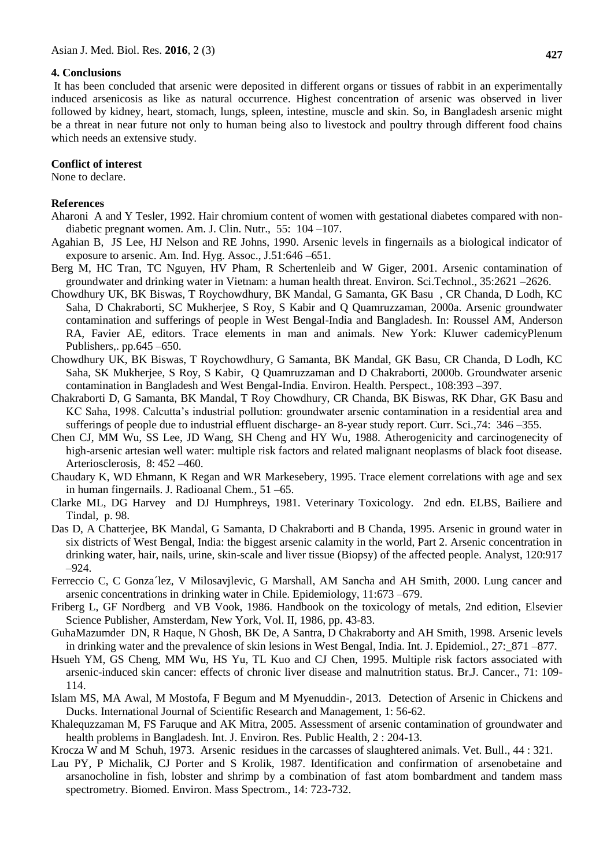### **4. Conclusions**

It has been concluded that arsenic were deposited in different organs or tissues of rabbit in an experimentally induced arsenicosis as like as natural occurrence. Highest concentration of arsenic was observed in liver followed by kidney, heart, stomach, lungs, spleen, intestine, muscle and skin. So, in Bangladesh arsenic might be a threat in near future not only to human being also to livestock and poultry through different food chains which needs an extensive study.

#### **Conflict of interest**

None to declare.

### **References**

- Aharoni A and Y Tesler, 1992. Hair chromium content of women with gestational diabetes compared with nondiabetic pregnant women. Am. J. Clin. Nutr., 55: 104 –107.
- Agahian B, JS Lee, HJ Nelson and RE Johns, 1990. Arsenic levels in fingernails as a biological indicator of exposure to arsenic. Am. Ind. Hyg. Assoc., J.51:646 –651.
- Berg M, HC Tran, TC Nguyen, HV Pham, R Schertenleib and W Giger, 2001. Arsenic contamination of groundwater and drinking water in Vietnam: a human health threat. Environ. Sci.Technol., 35:2621 –2626.
- Chowdhury UK, BK Biswas, T Roychowdhury, BK Mandal, G Samanta, GK Basu , CR Chanda, D Lodh, KC Saha, D Chakraborti, SC Mukherjee, S Roy, S Kabir and Q Quamruzzaman, 2000a. Arsenic groundwater contamination and sufferings of people in West Bengal-India and Bangladesh. In: Roussel AM, Anderson RA, Favier AE, editors. Trace elements in man and animals. New York: Kluwer cademicyPlenum Publishers.. pp.645 –650.
- Chowdhury UK, BK Biswas, T Roychowdhury, G Samanta, BK Mandal, GK Basu, CR Chanda, D Lodh, KC Saha, SK Mukherjee, S Roy, S Kabir, Q Quamruzzaman and D Chakraborti, 2000b. Groundwater arsenic contamination in Bangladesh and West Bengal-India. Environ. Health. Perspect., 108:393 –397.
- Chakraborti D, G Samanta, BK Mandal, T Roy Chowdhury, CR Chanda, BK Biswas, RK Dhar, GK Basu and KC Saha, 1998. Calcutta's industrial pollution: groundwater arsenic contamination in a residential area and sufferings of people due to industrial effluent discharge- an 8-year study report. Curr. Sci.,74: 346 –355.
- Chen CJ, MM Wu, SS Lee, JD Wang, SH Cheng and HY Wu, 1988. Atherogenicity and carcinogenecity of high-arsenic artesian well water: multiple risk factors and related malignant neoplasms of black foot disease. Arteriosclerosis, 8: 452 –460.
- Chaudary K, WD Ehmann, K Regan and WR Markesebery, 1995. Trace element correlations with age and sex in human fingernails. J. Radioanal Chem., 51 –65.
- Clarke ML, DG Harvey and DJ Humphreys, 1981. Veterinary Toxicology. 2nd edn. ELBS, Bailiere and Tindal, p. 98.
- Das D, A Chatterjee, BK Mandal, G Samanta, D Chakraborti and B Chanda, 1995. Arsenic in ground water in six districts of West Bengal, India: the biggest arsenic calamity in the world, Part 2. Arsenic concentration in drinking water, hair, nails, urine, skin-scale and liver tissue (Biopsy) of the affected people. Analyst, 120:917 –924.
- Ferreccio C, C Gonza´lez, V Milosavjlevic, G Marshall, AM Sancha and AH Smith, 2000. Lung cancer and arsenic concentrations in drinking water in Chile. Epidemiology, 11:673 –679.
- Friberg L, GF Nordberg and VB Vook, 1986. Handbook on the toxicology of metals, 2nd edition, Elsevier Science Publisher, Amsterdam, New York, Vol. II, 1986, pp. 43-83.
- GuhaMazumder DN, R Haque, N Ghosh, BK De, A Santra, D Chakraborty and AH Smith, 1998. Arsenic levels in drinking water and the prevalence of skin lesions in West Bengal, India. Int. J. Epidemiol., 27:\_871 –877.
- Hsueh YM, GS Cheng, MM Wu, HS Yu, TL Kuo and CJ Chen, 1995. Multiple risk factors associated with arsenic-induced skin cancer: effects of chronic liver disease and malnutrition status. Br.J. Cancer., 71: 109- 114.
- Islam MS, MA Awal, M Mostofa, F Begum and M Myenuddin-, 2013. Detection of Arsenic in Chickens and Ducks. International Journal of Scientific Research and Management, 1: 56-62.
- Khalequzzaman M, FS Faruque and AK Mitra, 2005. Assessment of arsenic contamination of groundwater and health problems in Bangladesh. Int. J. Environ. Res. Public Health, 2 : 204-13.

Krocza W and M Schuh, 1973. Arsenic residues in the carcasses of slaughtered animals. Vet. Bull., 44 : 321.

Lau PY, P Michalik, CJ Porter and S Krolik, 1987. Identification and confirmation of arsenobetaine and arsanocholine in fish, lobster and shrimp by a combination of fast atom bombardment and tandem mass spectrometry. Biomed. Environ. Mass Spectrom., 14: 723-732.